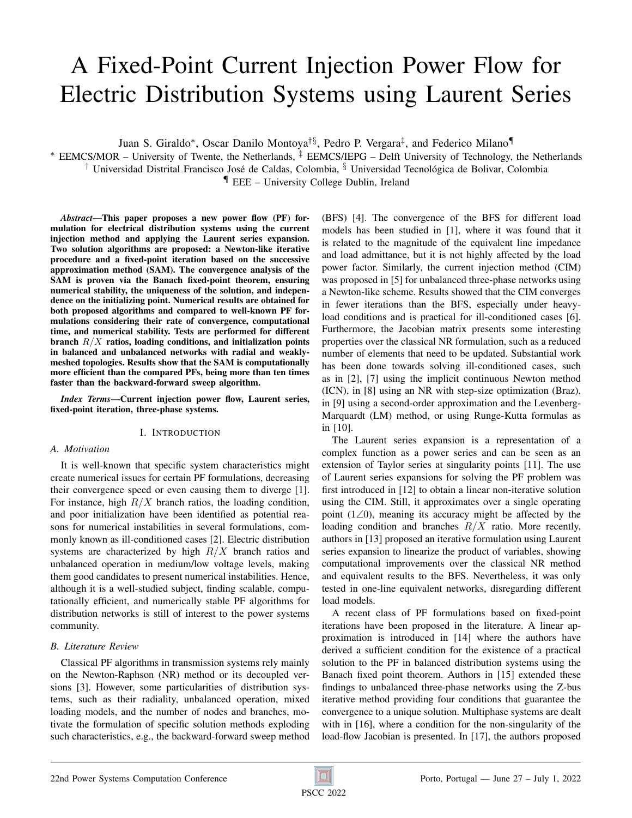# A Fixed-Point Current Injection Power Flow for Electric Distribution Systems using Laurent Series

Juan S. Giraldo<sup>∗</sup> , Oscar Danilo Montoya†§, Pedro P. Vergara‡ , and Federico Milano¶

<sup>∗</sup> EEMCS/MOR – University of Twente, the Netherlands, ‡ EEMCS/IEPG – Delft University of Technology, the Netherlands <sup>†</sup> Universidad Distrital Francisco José de Caldas, Colombia, <sup>§</sup> Universidad Tecnológica de Bolivar, Colombia

¶ EEE – University College Dublin, Ireland

*Abstract*—This paper proposes a new power flow (PF) formulation for electrical distribution systems using the current injection method and applying the Laurent series expansion. Two solution algorithms are proposed: a Newton-like iterative procedure and a fixed-point iteration based on the successive approximation method (SAM). The convergence analysis of the SAM is proven via the Banach fixed-point theorem, ensuring numerical stability, the uniqueness of the solution, and independence on the initializing point. Numerical results are obtained for both proposed algorithms and compared to well-known PF formulations considering their rate of convergence, computational time, and numerical stability. Tests are performed for different branch  $R/X$  ratios, loading conditions, and initialization points in balanced and unbalanced networks with radial and weaklymeshed topologies. Results show that the SAM is computationally more efficient than the compared PFs, being more than ten times faster than the backward-forward sweep algorithm.

*Index Terms*—Current injection power flow, Laurent series, fixed-point iteration, three-phase systems.

## I. INTRODUCTION

## *A. Motivation*

It is well-known that specific system characteristics might create numerical issues for certain PF formulations, decreasing their convergence speed or even causing them to diverge [\[1\]](#page-6-0). For instance, high  $R/X$  branch ratios, the loading condition, and poor initialization have been identified as potential reasons for numerical instabilities in several formulations, commonly known as ill-conditioned cases [\[2\]](#page-6-1). Electric distribution systems are characterized by high  $R/X$  branch ratios and unbalanced operation in medium/low voltage levels, making them good candidates to present numerical instabilities. Hence, although it is a well-studied subject, finding scalable, computationally efficient, and numerically stable PF algorithms for distribution networks is still of interest to the power systems community.

## *B. Literature Review*

Classical PF algorithms in transmission systems rely mainly on the Newton-Raphson (NR) method or its decoupled versions [\[3\]](#page-6-2). However, some particularities of distribution systems, such as their radiality, unbalanced operation, mixed loading models, and the number of nodes and branches, motivate the formulation of specific solution methods exploding such characteristics, e.g., the backward-forward sweep method (BFS) [\[4\]](#page-6-3). The convergence of the BFS for different load models has been studied in [\[1\]](#page-6-0), where it was found that it is related to the magnitude of the equivalent line impedance and load admittance, but it is not highly affected by the load power factor. Similarly, the current injection method (CIM) was proposed in [\[5\]](#page-6-4) for unbalanced three-phase networks using a Newton-like scheme. Results showed that the CIM converges in fewer iterations than the BFS, especially under heavyload conditions and is practical for ill-conditioned cases [\[6\]](#page-6-5). Furthermore, the Jacobian matrix presents some interesting properties over the classical NR formulation, such as a reduced number of elements that need to be updated. Substantial work has been done towards solving ill-conditioned cases, such as in [\[2\]](#page-6-1), [\[7\]](#page-6-6) using the implicit continuous Newton method (ICN), in [\[8\]](#page-6-7) using an NR with step-size optimization (Braz), in [\[9\]](#page-6-8) using a second-order approximation and the Levenberg-Marquardt (LM) method, or using Runge-Kutta formulas as in [\[10\]](#page-6-9).

The Laurent series expansion is a representation of a complex function as a power series and can be seen as an extension of Taylor series at singularity points [\[11\]](#page-7-0). The use of Laurent series expansions for solving the PF problem was first introduced in [\[12\]](#page-7-1) to obtain a linear non-iterative solution using the CIM. Still, it approximates over a single operating point (1∠0), meaning its accuracy might be affected by the loading condition and branches  $R/X$  ratio. More recently, authors in [\[13\]](#page-7-2) proposed an iterative formulation using Laurent series expansion to linearize the product of variables, showing computational improvements over the classical NR method and equivalent results to the BFS. Nevertheless, it was only tested in one-line equivalent networks, disregarding different load models.

A recent class of PF formulations based on fixed-point iterations have been proposed in the literature. A linear approximation is introduced in [\[14\]](#page-7-3) where the authors have derived a sufficient condition for the existence of a practical solution to the PF in balanced distribution systems using the Banach fixed point theorem. Authors in [\[15\]](#page-7-4) extended these findings to unbalanced three-phase networks using the Z-bus iterative method providing four conditions that guarantee the convergence to a unique solution. Multiphase systems are dealt with in [\[16\]](#page-7-5), where a condition for the non-singularity of the load-flow Jacobian is presented. In [\[17\]](#page-7-6), the authors proposed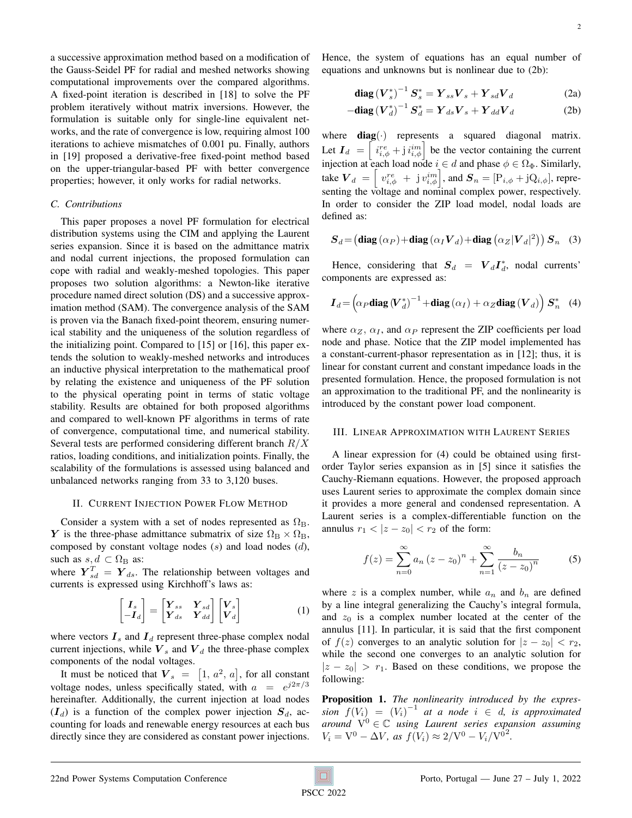a successive approximation method based on a modification of the Gauss-Seidel PF for radial and meshed networks showing computational improvements over the compared algorithms. A fixed-point iteration is described in [\[18\]](#page-7-7) to solve the PF problem iteratively without matrix inversions. However, the formulation is suitable only for single-line equivalent networks, and the rate of convergence is low, requiring almost 100 iterations to achieve mismatches of 0.001 pu. Finally, authors in [\[19\]](#page-7-8) proposed a derivative-free fixed-point method based on the upper-triangular-based PF with better convergence properties; however, it only works for radial networks.

## *C. Contributions*

This paper proposes a novel PF formulation for electrical distribution systems using the CIM and applying the Laurent series expansion. Since it is based on the admittance matrix and nodal current injections, the proposed formulation can cope with radial and weakly-meshed topologies. This paper proposes two solution algorithms: a Newton-like iterative procedure named direct solution (DS) and a successive approximation method (SAM). The convergence analysis of the SAM is proven via the Banach fixed-point theorem, ensuring numerical stability and the uniqueness of the solution regardless of the initializing point. Compared to [\[15\]](#page-7-4) or [\[16\]](#page-7-5), this paper extends the solution to weakly-meshed networks and introduces an inductive physical interpretation to the mathematical proof by relating the existence and uniqueness of the PF solution to the physical operating point in terms of static voltage stability. Results are obtained for both proposed algorithms and compared to well-known PF algorithms in terms of rate of convergence, computational time, and numerical stability. Several tests are performed considering different branch  $R/X$ ratios, loading conditions, and initialization points. Finally, the scalability of the formulations is assessed using balanced and unbalanced networks ranging from 33 to 3,120 buses.

### II. CURRENT INJECTION POWER FLOW METHOD

Consider a system with a set of nodes represented as  $\Omega_{\rm B}$ . Y is the three-phase admittance submatrix of size  $\Omega_{\rm B} \times \Omega_{\rm B}$ , composed by constant voltage nodes  $(s)$  and load nodes  $(d)$ , such as  $s, d \subset \Omega_B$  as:

where  $\boldsymbol{Y}_{sd}^T = \boldsymbol{Y}_{ds}$ . The relationship between voltages and currents is expressed using Kirchhoff's laws as:

$$
\begin{bmatrix} I_s \\ -I_d \end{bmatrix} = \begin{bmatrix} Y_{ss} & Y_{sd} \\ Y_{ds} & Y_{dd} \end{bmatrix} \begin{bmatrix} V_s \\ V_d \end{bmatrix}
$$
 (1)

where vectors  $I_s$  and  $I_d$  represent three-phase complex nodal current injections, while  $V_s$  and  $V_d$  the three-phase complex components of the nodal voltages.

It must be noticed that  $\boldsymbol{V}_s = [1, a^2, a]$ , for all constant voltage nodes, unless specifically stated, with  $a = e^{j2\pi/3}$ hereinafter. Additionally, the current injection at load nodes  $(I_d)$  is a function of the complex power injection  $S_d$ , accounting for loads and renewable energy resources at each bus directly since they are considered as constant power injections. Hence, the system of equations has an equal number of equations and unknowns but is nonlinear due to [\(2b\)](#page-1-0):

<span id="page-1-3"></span><span id="page-1-0"></span>
$$
\mathbf{diag}\left(\mathbf{V}_{s}^{*}\right)^{-1}\mathbf{S}_{s}^{*}=\mathbf{Y}_{ss}\mathbf{V}_{s}+\mathbf{Y}_{sd}\mathbf{V}_{d} \tag{2a}
$$

$$
-\text{diag}\left(\boldsymbol{V}_d^*\right)^{-1}\boldsymbol{S}_d^* = \boldsymbol{Y}_{ds}\boldsymbol{V}_s + \boldsymbol{Y}_{dd}\boldsymbol{V}_d \tag{2b}
$$

where  $diag(\cdot)$  represents a squared diagonal matrix. Let  $I_d = \begin{bmatrix} i_{i,\phi}^{re} + j i_{i,\phi}^{im} \end{bmatrix}$  be the vector containing the current injection at each load node  $i \in d$  and phase  $\phi \in \Omega_{\Phi}$ . Similarly, take  $\bm{V}_d = \begin{bmatrix} v_{i,\phi}^{re} + \mathrm{j} v_{i,\phi}^{im} \end{bmatrix}$ , and  $\bm{S}_n = [\mathrm{P}_{i,\phi} + \mathrm{j} \mathrm{Q}_{i,\phi}]$ , representing the voltage and nominal complex power, respectively. In order to consider the ZIP load model, nodal loads are defined as:

$$
\boldsymbol{S}_d \!=\! \left(\text{diag}\left(\alpha_P\right) \!+\! \text{diag}\left(\alpha_I \boldsymbol{V}_d\right) \!+\! \text{diag}\left(\alpha_Z \lvert \boldsymbol{V}_d \rvert^2\right)\right) \boldsymbol{S}_n \quad (3)
$$

Hence, considering that  $S_d = V_d I_d^*$ , nodal currents' components are expressed as:

<span id="page-1-1"></span>
$$
\boldsymbol{I}_d = \left(\alpha_P \textbf{diag}\left(\boldsymbol{V}_d^*\right)^{-1} + \textbf{diag}\left(\alpha_I\right) + \alpha_Z \textbf{diag}\left(\boldsymbol{V}_d\right)\right) \boldsymbol{S}_n^* \quad (4)
$$

where  $\alpha_Z$ ,  $\alpha_I$ , and  $\alpha_P$  represent the ZIP coefficients per load node and phase. Notice that the ZIP model implemented has a constant-current-phasor representation as in [\[12\]](#page-7-1); thus, it is linear for constant current and constant impedance loads in the presented formulation. Hence, the proposed formulation is not an approximation to the traditional PF, and the nonlinearity is introduced by the constant power load component.

## III. LINEAR APPROXIMATION WITH LAURENT SERIES

A linear expression for [\(4\)](#page-1-1) could be obtained using firstorder Taylor series expansion as in [\[5\]](#page-6-4) since it satisfies the Cauchy-Riemann equations. However, the proposed approach uses Laurent series to approximate the complex domain since it provides a more general and condensed representation. A Laurent series is a complex-differentiable function on the annulus  $r_1 < |z - z_0| < r_2$  of the form:

$$
f(z) = \sum_{n=0}^{\infty} a_n (z - z_0)^n + \sum_{n=1}^{\infty} \frac{b_n}{(z - z_0)^n}
$$
 (5)

where z is a complex number, while  $a_n$  and  $b_n$  are defined by a line integral generalizing the Cauchy's integral formula, and  $z_0$  is a complex number located at the center of the annulus [\[11\]](#page-7-0). In particular, it is said that the first component of  $f(z)$  converges to an analytic solution for  $|z - z_0| < r_2$ , while the second one converges to an analytic solution for  $|z - z_0| > r_1$ . Based on these conditions, we propose the following:

<span id="page-1-2"></span>Proposition 1. *The nonlinearity introduced by the expression*  $f(V_i) = (V_i)^{-1}$  *at a node*  $i \in d$ *, is approximated around*  $V^0 \in \mathbb{C}$  *using Laurent series expansion assuming*  $V_i = V^0 - \Delta V$ , as  $f(V_i) \approx 2/V^0 - V_i/V^{0^2}$ .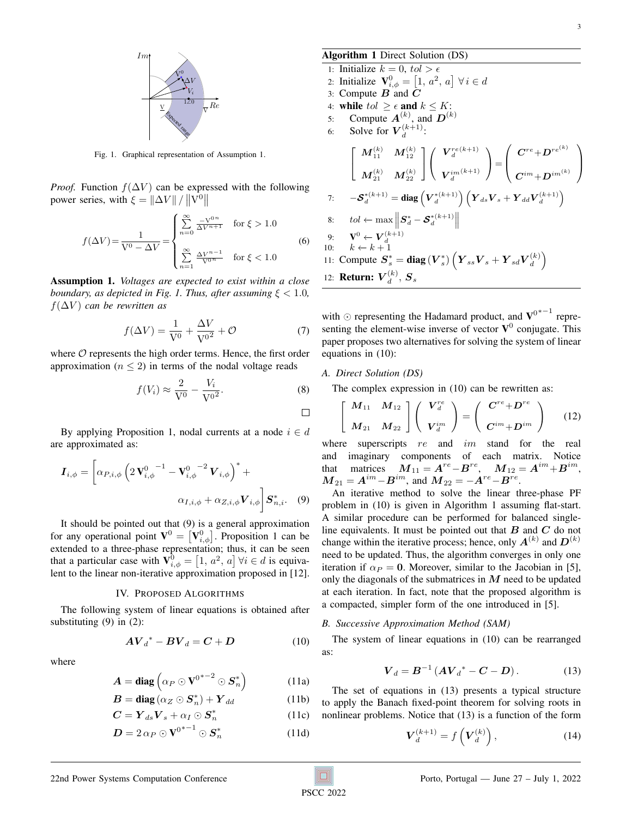

<span id="page-2-1"></span>Fig. 1. Graphical representation of Assumption [1.](#page-2-0)

*Proof.* Function  $f(\Delta V)$  can be expressed with the following power series, with  $\xi = \|\Delta V\| / \|V^0\|$ 

<span id="page-2-6"></span>
$$
f(\Delta V) = \frac{1}{V^0 - \Delta V} = \begin{cases} \sum_{n=0}^{\infty} \frac{-V^{0n}}{\Delta V^{n+1}} & \text{for } \xi > 1.0\\ \sum_{n=1}^{\infty} \frac{\Delta V^{n-1}}{V^{0n}} & \text{for } \xi < 1.0 \end{cases}
$$
(6)

<span id="page-2-0"></span>Assumption 1. *Voltages are expected to exist within a close boundary, as depicted in Fig. [1.](#page-2-1) Thus, after assuming*  $\xi < 1.0$ *,*  $f(\Delta V)$  *can be rewritten as* 

$$
f(\Delta V) = \frac{1}{V^0} + \frac{\Delta V}{V^{0^2}} + \mathcal{O}
$$
 (7)

where  $O$  represents the high order terms. Hence, the first order approximation ( $n \leq 2$ ) in terms of the nodal voltage reads

$$
f(V_i) \approx \frac{2}{V^0} - \frac{V_i}{V^{0^2}}.
$$
 (8)

By applying Proposition [1,](#page-1-2) nodal currents at a node  $i \in d$ are approximated as:

$$
\boldsymbol{I}_{i,\phi} = \left[ \alpha_{P,i,\phi} \left( 2 \, \mathbf{V}_{i,\phi}^0 \right)^{-1} - \mathbf{V}_{i,\phi}^0 \right]^2 \mathbf{V}_{i,\phi} \right)^* +
$$
\n
$$
\alpha_{I,i,\phi} + \alpha_{Z,i,\phi} \mathbf{V}_{i,\phi} \left| \boldsymbol{S}_{n,i}^* . \quad (9)
$$

It should be pointed out that [\(9\)](#page-2-2) is a general approximation for any operational point  $\mathbf{V}^0 = [\mathbf{V}_{i,\phi}^0]$ . Proposition [1](#page-1-2) can be extended to a three-phase representation; thus, it can be seen that a particular case with  $\mathbf{V}_{i,\phi}^0 = \left[1, a^2, a\right] \forall i \in \mathcal{U}$  is equivalent to the linear non-iterative approximation proposed in [\[12\]](#page-7-1).

#### IV. PROPOSED ALGORITHMS

The following system of linear equations is obtained after substituting  $(9)$  in  $(2)$ :

where

$$
A = \text{diag}\left(\alpha_P \odot \mathbf{V}^{0^{*}-2} \odot \mathbf{S}_n^*\right) \tag{11a}
$$

 $A{V_d}^* - B{V_d} = C + D$  (10)

$$
B = diag(\alpha_Z \odot S_n^*) + Y_{dd} \tag{11b}
$$

$$
\boldsymbol{C} = \boldsymbol{Y}_{ds}\boldsymbol{V}_s + \alpha_I \odot \boldsymbol{S}_n^* \tag{11c}
$$

$$
D = 2 \alpha_P \odot V^{0^{*}-1} \odot S_n^* \tag{11d}
$$

## <span id="page-2-4"></span>Algorithm 1 Direct Solution (DS)

1: Initialize  $k = 0$ ,  $tol > \epsilon$ 2: Initialize  $\mathbf{V}_{i,\phi}^0 = \left[1, a^2, a\right] \forall i \in d$ 3: Compute  $\vec{B}$  and  $\vec{C}$ 4: while  $tol \geq \epsilon$  and  $k \leq K$ : 5: Compute  $A^{(k)}$ , and  $D^{(k)}$ 6: Solve for  $V_d^{(k+1)}$  $\frac{(\kappa+1)}{d}$ :  $\sqrt{ }$  $\overline{1}$  $\boldsymbol{M}_{11}^{(k)}$   $\boldsymbol{M}_{12}^{(k)}$  $\boldsymbol{M}_{21}^{(k)}$   $\boldsymbol{M}_{22}^{(k)}$ 1  $\overline{1}$  $\sqrt{ }$  $\mathcal{L}$  $\boldsymbol{V}_{d}^{re(k+1)}$  $\boldsymbol{V}_{d}^{im \, (k+1)}$  $\setminus$  $\Big) =$  $\sqrt{ }$  $\overline{\phantom{a}}$  $\bm{C}^{re}\!+\!\bm{D}^{re^{(k)}}$  $\boldsymbol{C}^{im}\!+\!\boldsymbol{D}^{im}^{(k)}$  $\setminus$  $\Big\}$ 7:  $-\boldsymbol{\mathcal{S}}_{d}^{*(k+1)} = \text{diag}\left(\boldsymbol{V}_{d}^{*(k+1)}\right)\left(\boldsymbol{Y}_{ds}\boldsymbol{V}_{s} + \boldsymbol{Y}_{dd}\boldsymbol{V}_{d}^{(k+1)}\right)$ 8: tol ← max  $\left\| \boldsymbol{S}^*_d - \boldsymbol{\mathcal{S}}^*_d^{(k+1)} \right\|$  $\begin{array}{ccc} \parallel^{\sim} a & -a & \parallel \\ \parallel \end{array}$ 9:  $\mathbf{V}^0 \leftarrow \mathbf{V}_d^{(k+1)}$ <br>10:  $k \leftarrow k+1$ 11: Compute  $S_s^* = \text{diag}(V_s^*) \left(Y_{ss}V_s + Y_{sd}V_d^{(k)}\right)$  $\binom{k}{d}$ 12: **Return:**  $V_d^{(k)}$  $_d^{(k)},\bm{S}_s$ 

with ⊙ representing the Hadamard product, and  $V^{0^{*}-1}$  representing the element-wise inverse of vector  $V^0$  conjugate. This paper proposes two alternatives for solving the system of linear equations in [\(10\)](#page-2-3):

## *A. Direct Solution (DS)*

 $\Box$ 

The complex expression in [\(10\)](#page-2-3) can be rewritten as:

$$
\left[\begin{array}{cc} M_{11} & M_{12} \\ M_{21} & M_{22} \end{array}\right] \left(\begin{array}{c} V_d^{re} \\ V_d^{im} \end{array}\right) = \left(\begin{array}{c} C^{re} + D^{re} \\ C^{im} + D^{im} \end{array}\right) \tag{12}
$$

where superscripts  $re$  and  $im$  stand for the real and imaginary components of each matrix. Notice that matrices  $\boldsymbol{M}_{11} = \boldsymbol{A}^{re} - \boldsymbol{B}^{re}$ ,  $\boldsymbol{M}_{12} = \boldsymbol{A}^{im} + \boldsymbol{B}^{im}$ ,  $M_{21} = A^{im} - B^{im}$ , and  $M_{22} = -A^{re} - B^{re}$ .

<span id="page-2-2"></span>An iterative method to solve the linear three-phase PF problem in [\(10\)](#page-2-3) is given in Algorithm [1](#page-2-4) assuming flat-start. A similar procedure can be performed for balanced singleline equivalents. It must be pointed out that  $B$  and  $C$  do not change within the iterative process; hence, only  $A^{(k)}$  and  $D^{(k)}$ need to be updated. Thus, the algorithm converges in only one iteration if  $\alpha_P = 0$ . Moreover, similar to the Jacobian in [\[5\]](#page-6-4), only the diagonals of the submatrices in  $M$  need to be updated at each iteration. In fact, note that the proposed algorithm is a compacted, simpler form of the one introduced in [\[5\]](#page-6-4).

#### *B. Successive Approximation Method (SAM)*

<span id="page-2-3"></span>The system of linear equations in [\(10\)](#page-2-3) can be rearranged as:

$$
V_d = B^{-1} (A V_d^* - C - D). \tag{13}
$$

The set of equations in [\(13\)](#page-2-5) presents a typical structure to apply the Banach fixed-point theorem for solving roots in nonlinear problems. Notice that [\(13\)](#page-2-5) is a function of the form

<span id="page-2-5"></span>
$$
\boldsymbol{V}_d^{(k+1)} = f\left(\boldsymbol{V}_d^{(k)}\right),\tag{14}
$$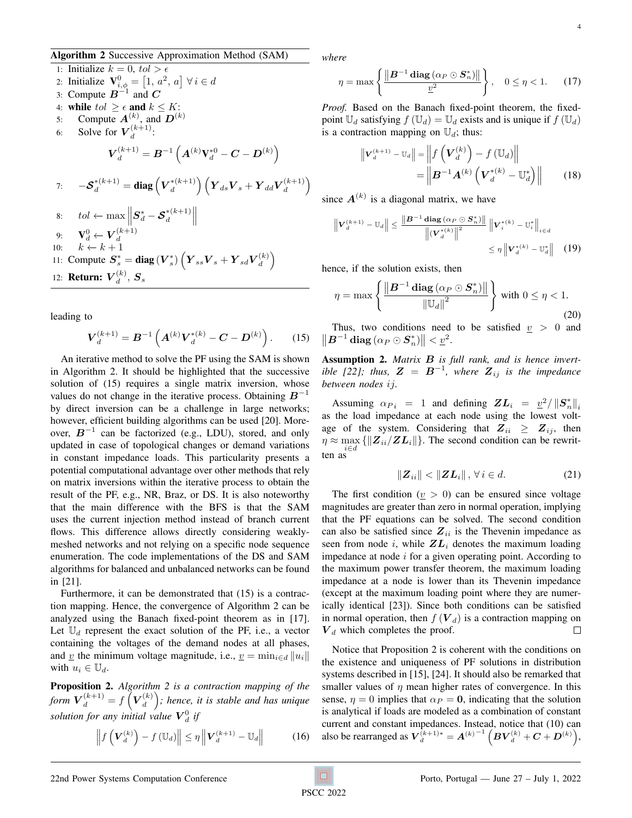## <span id="page-3-0"></span>Algorithm 2 Successive Approximation Method (SAM)

1: Initialize  $k = 0$ ,  $tol > \epsilon$ 2: Initialize  $\mathbf{V}_{i,\phi}^0 = \left[1, a^2, a\right] \forall i \in d$ 3: Compute  $B^{-1}$  and  $C$ 4: while  $tol \geq \epsilon$  and  $k \leq K$ : 5: Compute  $A^{(k)}$ , and  $D^{(k)}$ 6: Solve for  $\boldsymbol{V}_d^{(k+1)}$  $\frac{(\kappa+1)}{d}$ :  ${\boldsymbol{V}}^{(k+1)}_d = {\boldsymbol{B}}^{-1} \left( {\boldsymbol{A}}^{(k)} {\boldsymbol{\rm{V}}}^{*0}_d - {\boldsymbol{C}} - {\boldsymbol{D}}^{(k)} \right)$ 7:  $-\mathcal{S}_d^{*(k+1)} = \text{diag}\left(V_d^{*(k+1)}\right)$  $\left(\begin{matrix} 1\ d \end{matrix}\right)\left(\begin{matrix} \boldsymbol{Y}_{ds}\boldsymbol{V}_{s}+\boldsymbol{Y}_{dd}\boldsymbol{V}_{d}^{(k+1)} \end{matrix}\right)$  $\binom{k+1}{d}$ 8:  $tol \leftarrow \max \left\|$  $\boldsymbol{S}_d^*-\boldsymbol{\mathcal{S}}_d^{*(k+1)}$  $\binom{*(k+1)}{d}$ 9:  $\mathbf{V}_d^0 \leftarrow \bm{V}_d^{(k+1)}$ 10:  $k \leftarrow k+1$ 11: Compute  $S_s^* = \text{diag}(V_s^*) \left(Y_{ss}V_s + Y_{sd}V_d^{(k)}\right)$  $\binom{k}{d}$ 12: **Return:**  $\boldsymbol{V}_d^{(k)}$  $_d^{(k)},\bm{S}_s$ 

leading to

$$
\boldsymbol{V}_d^{(k+1)} = \boldsymbol{B}^{-1} \left( \boldsymbol{A}^{(k)} \boldsymbol{V}_d^{*(k)} - \boldsymbol{C} - \boldsymbol{D}^{(k)} \right). \qquad (15)
$$

An iterative method to solve the PF using the SAM is shown in Algorithm [2.](#page-3-0) It should be highlighted that the successive solution of [\(15\)](#page-3-1) requires a single matrix inversion, whose values do not change in the iterative process. Obtaining  $B^{-1}$ by direct inversion can be a challenge in large networks; however, efficient building algorithms can be used [\[20\]](#page-7-9). Moreover,  $B^{-1}$  can be factorized (e.g., LDU), stored, and only updated in case of topological changes or demand variations in constant impedance loads. This particularity presents a potential computational advantage over other methods that rely on matrix inversions within the iterative process to obtain the result of the PF, e.g., NR, Braz, or DS. It is also noteworthy that the main difference with the BFS is that the SAM uses the current injection method instead of branch current flows. This difference allows directly considering weaklymeshed networks and not relying on a specific node sequence enumeration. The code implementations of the DS and SAM algorithms for balanced and unbalanced networks can be found in [\[21\]](#page-7-10).

Furthermore, it can be demonstrated that [\(15\)](#page-3-1) is a contraction mapping. Hence, the convergence of Algorithm [2](#page-3-0) can be analyzed using the Banach fixed-point theorem as in [\[17\]](#page-7-6). Let  $\mathbb{U}_d$  represent the exact solution of the PF, i.e., a vector containing the voltages of the demand nodes at all phases, and <u>v</u> the minimum voltage magnitude, i.e.,  $\underline{v} = \min_{i \in d} ||u_i||$ with  $u_i \in \mathbb{U}_d$ .

<span id="page-3-2"></span>Proposition 2. *Algorithm [2](#page-3-0) is a contraction mapping of the* form  $\boldsymbol{V}_{d}^{(k+1)}=f\left(\boldsymbol{V}_{d}^{(k)}\right)$  $\binom{(k)}{d}$ ; hence, it is stable and has unique *solution for any initial value*  $\boldsymbol{V}_{d}^{0}$  *if* 

$$
\left\|f\left(\mathbf{V}_d^{(k)}\right) - f\left(\mathbb{U}_d\right)\right\| \leq \eta \left\|\mathbf{V}_d^{(k+1)} - \mathbb{U}_d\right\| \tag{16}
$$

*where*

$$
\eta = \max \left\{ \frac{\left\| \boldsymbol{B}^{-1} \operatorname{diag} \left( \alpha_P \odot \boldsymbol{S}_n^* \right) \right\|}{\underline{v}^2} \right\}, \quad 0 \le \eta < 1. \tag{17}
$$

*Proof.* Based on the Banach fixed-point theorem, the fixedpoint  $\mathbb{U}_d$  satisfying  $f(\mathbb{U}_d) = \mathbb{U}_d$  exists and is unique if  $f(\mathbb{U}_d)$ is a contraction mapping on  $\mathbb{U}_d$ ; thus:

<span id="page-3-4"></span>
$$
\|\mathbf{V}_{d}^{(k+1)} - \mathbb{U}_{d}\| = \left\| f\left(\mathbf{V}_{d}^{(k)}\right) - f\left(\mathbb{U}_{d}\right) \right\|
$$

$$
= \left\| \mathbf{B}^{-1} \mathbf{A}^{(k)} \left(\mathbf{V}_{d}^{*(k)} - \mathbb{U}_{d}^{*}\right) \right\|
$$
(18)

since  $A^{(k)}$  is a diagonal matrix, we have

$$
\left\| V_{d}^{(k+1)} - \mathbb{U}_{d} \right\| \leq \frac{\left\| \boldsymbol{B}^{-1} \operatorname{diag} (\alpha_{P} \odot \boldsymbol{S}_{n}^{*}) \right\|}{\left\| (\boldsymbol{V}_{d}^{*(k)}) \right\|^{2}} \left\| \boldsymbol{V}_{i}^{*(k)} - \mathbb{U}_{i}^{*} \right\|_{i \in d}
$$

$$
\leq \eta \left\| \boldsymbol{V}_{d}^{*(k)} - \mathbb{U}_{d}^{*} \right\| \quad (19)
$$

hence, if the solution exists, then

$$
\eta = \max \left\{ \frac{\left\| \boldsymbol{B}^{-1} \operatorname{diag} \left( \alpha_P \odot \boldsymbol{S}_n^* \right) \right\|}{\left\| \mathbb{U}_d \right\|^2} \right\} \text{ with } 0 \le \eta < 1. \tag{20}
$$

<span id="page-3-1"></span>Thus, two conditions need to be satisfied  $v > 0$  and  $\left\|\boldsymbol{B}^{-1}\,\text{diag}\left(\alpha_P\odot\boldsymbol{S}_n^*\right)\right\| < \underline{v}^2.$ 

Assumption 2. *Matrix* B *is full rank, and is hence invertible* [\[22\]](#page-7-11); thus,  $\mathbf{Z} = \mathbf{B}^{-1}$ , where  $\mathbf{Z}_{ij}$  is the impedance *between nodes* ij*.*

Assuming  $\alpha_{P_i} = 1$  and defining  $ZL_i = \frac{v^2}{\|S_n^*\|_i}$ as the load impedance at each node using the lowest voltage of the system. Considering that  $Z_{ii} \geq Z_{ij}$ , then  $\eta \approx \max_{i} {\{\Vert \mathbf{Z}_{ii}/\mathbf{Z}\mathbf{L}_i \Vert\}.$  The second condition can be rewrit- $\lim_{i \in d}$ 

<span id="page-3-5"></span>
$$
\|\boldsymbol{Z}_{ii}\| < \|\boldsymbol{Z}\boldsymbol{L}_i\| \,,\,\forall\, i \in d. \tag{21}
$$

The first condition ( $v > 0$ ) can be ensured since voltage magnitudes are greater than zero in normal operation, implying that the PF equations can be solved. The second condition can also be satisfied since  $Z_{ii}$  is the Thevenin impedance as seen from node i, while  $ZL_i$  denotes the maximum loading impedance at node  $i$  for a given operating point. According to the maximum power transfer theorem, the maximum loading impedance at a node is lower than its Thevenin impedance (except at the maximum loading point where they are numerically identical [\[23\]](#page-7-12)). Since both conditions can be satisfied in normal operation, then  $f(\mathbf{V}_d)$  is a contraction mapping on  $V_d$  which completes the proof.  $\Box$ 

<span id="page-3-3"></span>Notice that Proposition [2](#page-3-2) is coherent with the conditions on the existence and uniqueness of PF solutions in distribution systems described in [\[15\]](#page-7-4), [\[24\]](#page-7-13). It should also be remarked that smaller values of  $\eta$  mean higher rates of convergence. In this sense,  $\eta = 0$  implies that  $\alpha_P = 0$ , indicating that the solution is analytical if loads are modeled as a combination of constant current and constant impedances. Instead, notice that [\(10\)](#page-2-3) can also be rearranged as  $V_d^{(k+1)*} = A^{(k)-1} (B V_d^{(k)} + C + D^{(k)}),$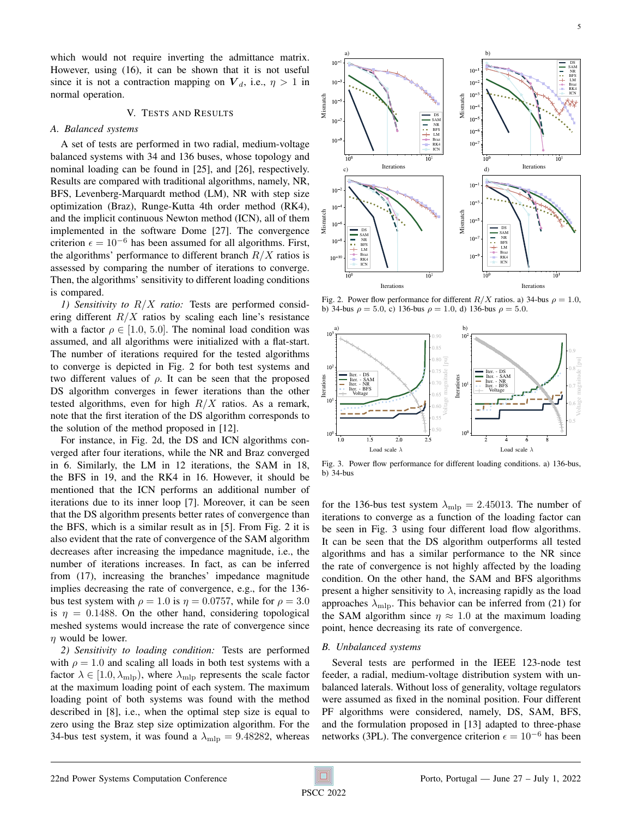which would not require inverting the admittance matrix. However, using [\(16\)](#page-3-3), it can be shown that it is not useful since it is not a contraction mapping on  $V_d$ , i.e.,  $\eta > 1$  in normal operation.

## V. TESTS AND RESULTS

## *A. Balanced systems*

A set of tests are performed in two radial, medium-voltage balanced systems with 34 and 136 buses, whose topology and nominal loading can be found in [\[25\]](#page-7-14), and [\[26\]](#page-7-15), respectively. Results are compared with traditional algorithms, namely, NR, BFS, Levenberg-Marquardt method (LM), NR with step size optimization (Braz), Runge-Kutta 4th order method (RK4), and the implicit continuous Newton method (ICN), all of them implemented in the software Dome [\[27\]](#page-7-16). The convergence criterion  $\epsilon = 10^{-6}$  has been assumed for all algorithms. First, the algorithms' performance to different branch  $R/X$  ratios is assessed by comparing the number of iterations to converge. Then, the algorithms' sensitivity to different loading conditions is compared.

*1) Sensitivity to* R/X *ratio:* Tests are performed considering different  $R/X$  ratios by scaling each line's resistance with a factor  $\rho \in [1.0, 5.0]$ . The nominal load condition was assumed, and all algorithms were initialized with a flat-start. The number of iterations required for the tested algorithms to converge is depicted in Fig. [2](#page-4-0) for both test systems and two different values of  $\rho$ . It can be seen that the proposed DS algorithm converges in fewer iterations than the other tested algorithms, even for high  $R/X$  ratios. As a remark, note that the first iteration of the DS algorithm corresponds to the solution of the method proposed in [\[12\]](#page-7-1).

For instance, in Fig. [2d](#page-4-0), the DS and ICN algorithms converged after four iterations, while the NR and Braz converged in 6. Similarly, the LM in 12 iterations, the SAM in 18, the BFS in 19, and the RK4 in 16. However, it should be mentioned that the ICN performs an additional number of iterations due to its inner loop [\[7\]](#page-6-6). Moreover, it can be seen that the DS algorithm presents better rates of convergence than the BFS, which is a similar result as in [\[5\]](#page-6-4). From Fig. [2](#page-4-0) it is also evident that the rate of convergence of the SAM algorithm decreases after increasing the impedance magnitude, i.e., the number of iterations increases. In fact, as can be inferred from [\(17\)](#page-3-4), increasing the branches' impedance magnitude implies decreasing the rate of convergence, e.g., for the 136 bus test system with  $\rho = 1.0$  is  $\eta = 0.0757$ , while for  $\rho = 3.0$ is  $\eta = 0.1488$ . On the other hand, considering topological meshed systems would increase the rate of convergence since  $n$  would be lower.

*2) Sensitivity to loading condition:* Tests are performed with  $\rho = 1.0$  and scaling all loads in both test systems with a factor  $\lambda \in [1.0, \lambda_{\text{mlp}})$ , where  $\lambda_{\text{mlp}}$  represents the scale factor at the maximum loading point of each system. The maximum loading point of both systems was found with the method described in [\[8\]](#page-6-7), i.e., when the optimal step size is equal to zero using the Braz step size optimization algorithm. For the 34-bus test system, it was found a  $\lambda_{\rm mlp} = 9.48282$ , whereas



<span id="page-4-0"></span>Fig. 2. Power flow performance for different  $R/X$  ratios. a) 34-bus  $\rho = 1.0$ , b) 34-bus  $\rho = 5.0$ , c) 136-bus  $\rho = 1.0$ , d) 136-bus  $\rho = 5.0$ .



<span id="page-4-1"></span>Fig. 3. Power flow performance for different loading conditions. a) 136-bus, b) 34-bus

for the 136-bus test system  $\lambda_{\text{mlp}} = 2.45013$ . The number of iterations to converge as a function of the loading factor can be seen in Fig. [3](#page-4-1) using four different load flow algorithms. It can be seen that the DS algorithm outperforms all tested algorithms and has a similar performance to the NR since the rate of convergence is not highly affected by the loading condition. On the other hand, the SAM and BFS algorithms present a higher sensitivity to  $\lambda$ , increasing rapidly as the load approaches  $\lambda_{\rm mlp}$ . This behavior can be inferred from [\(21\)](#page-3-5) for the SAM algorithm since  $\eta \approx 1.0$  at the maximum loading point, hence decreasing its rate of convergence.

#### *B. Unbalanced systems*

Several tests are performed in the IEEE 123-node test feeder, a radial, medium-voltage distribution system with unbalanced laterals. Without loss of generality, voltage regulators were assumed as fixed in the nominal position. Four different PF algorithms were considered, namely, DS, SAM, BFS, and the formulation proposed in [\[13\]](#page-7-2) adapted to three-phase networks (3PL). The convergence criterion  $\epsilon = 10^{-6}$  has been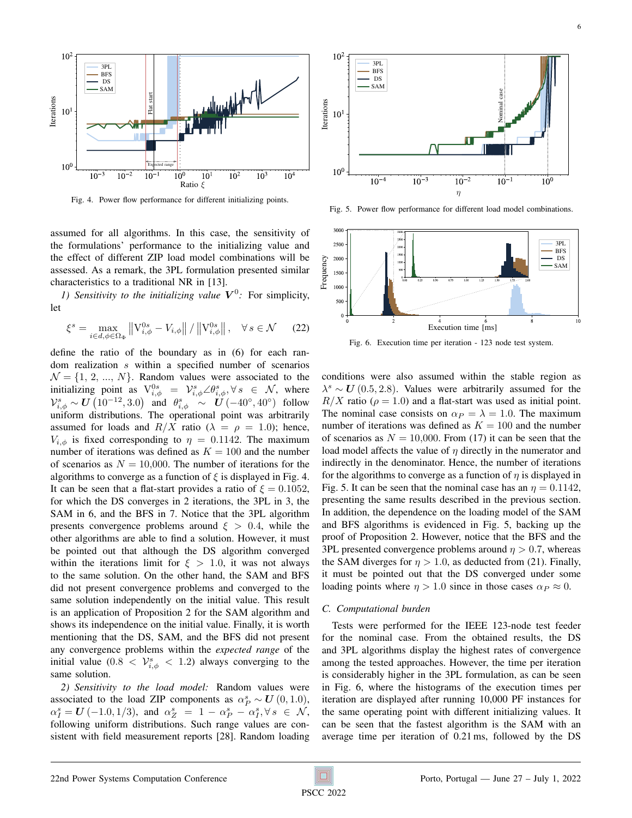

<span id="page-5-0"></span>Fig. 4. Power flow performance for different initializing points.

assumed for all algorithms. In this case, the sensitivity of the formulations' performance to the initializing value and the effect of different ZIP load model combinations will be assessed. As a remark, the 3PL formulation presented similar characteristics to a traditional NR in [\[13\]](#page-7-2).

1) Sensitivity to the initializing value  $V^0$ : For simplicity, let

$$
\xi^s = \max_{i \in d, \phi \in \Omega_{\Phi}} \left\| \mathbf{V}_{i,\phi}^{0s} - V_{i,\phi} \right\| / \left\| \mathbf{V}_{i,\phi}^{0s} \right\|, \quad \forall \, s \in \mathcal{N} \tag{22}
$$

define the ratio of the boundary as in [\(6\)](#page-2-6) for each random realization s within a specified number of scenarios  $\mathcal{N} = \{1, 2, ..., N\}$ . Random values were associated to the initializing point as  $V_{i,\phi}^{0s} = V_{i,\phi}^s \angle \theta_{i,\phi}^s, \forall s \in \mathcal{N}$ , where  $\mathcal{V}_{i,\phi}^s \sim \boldsymbol{U}\left(10^{-12}, 3.0\right)$  and  $\theta_{i,\phi}^s \sim \boldsymbol{U}\left(-40^\circ, 40^\circ\right)$  follow uniform distributions. The operational point was arbitrarily assumed for loads and  $R/X$  ratio ( $\lambda = \rho = 1.0$ ); hence,  $V_{i,\phi}$  is fixed corresponding to  $\eta = 0.1142$ . The maximum number of iterations was defined as  $K = 100$  and the number of scenarios as  $N = 10,000$ . The number of iterations for the algorithms to converge as a function of  $\xi$  is displayed in Fig. [4.](#page-5-0) It can be seen that a flat-start provides a ratio of  $\xi = 0.1052$ , for which the DS converges in 2 iterations, the 3PL in 3, the SAM in 6, and the BFS in 7. Notice that the 3PL algorithm presents convergence problems around  $\xi > 0.4$ , while the other algorithms are able to find a solution. However, it must be pointed out that although the DS algorithm converged within the iterations limit for  $\xi > 1.0$ , it was not always to the same solution. On the other hand, the SAM and BFS did not present convergence problems and converged to the same solution independently on the initial value. This result is an application of Proposition [2](#page-3-2) for the SAM algorithm and shows its independence on the initial value. Finally, it is worth mentioning that the DS, SAM, and the BFS did not present any convergence problems within the *expected range* of the initial value  $(0.8 < V_{i,\phi}^s < 1.2)$  always converging to the same solution.

*2) Sensitivity to the load model:* Random values were associated to the load ZIP components as  $\alpha_P^s \sim U(0, 1.0)$ ,  $\alpha_I^s = \mathbf{U}(-1.0, 1/3)$ , and  $\alpha_Z^s = 1 - \alpha_P^s - \alpha_I^s, \forall s \in \mathcal{N}$ , following uniform distributions. Such range values are consistent with field measurement reports [\[28\]](#page-7-17). Random loading



<span id="page-5-1"></span>Fig. 5. Power flow performance for different load model combinations.



<span id="page-5-2"></span>Fig. 6. Execution time per iteration - 123 node test system.

conditions were also assumed within the stable region as  $\lambda^s \sim U(0.5, 2.8)$ . Values were arbitrarily assumed for the  $R/X$  ratio ( $\rho = 1.0$ ) and a flat-start was used as initial point. The nominal case consists on  $\alpha_P = \lambda = 1.0$ . The maximum number of iterations was defined as  $K = 100$  and the number of scenarios as  $N = 10,000$ . From [\(17\)](#page-3-4) it can be seen that the load model affects the value of  $\eta$  directly in the numerator and indirectly in the denominator. Hence, the number of iterations for the algorithms to converge as a function of  $\eta$  is displayed in Fig. [5.](#page-5-1) It can be seen that the nominal case has an  $\eta = 0.1142$ , presenting the same results described in the previous section. In addition, the dependence on the loading model of the SAM and BFS algorithms is evidenced in Fig. [5,](#page-5-1) backing up the proof of Proposition [2.](#page-3-2) However, notice that the BFS and the 3PL presented convergence problems around  $\eta > 0.7$ , whereas the SAM diverges for  $\eta > 1.0$ , as deducted from [\(21\)](#page-3-5). Finally, it must be pointed out that the DS converged under some loading points where  $\eta > 1.0$  since in those cases  $\alpha_P \approx 0$ .

## *C. Computational burden*

Tests were performed for the IEEE 123-node test feeder for the nominal case. From the obtained results, the DS and 3PL algorithms display the highest rates of convergence among the tested approaches. However, the time per iteration is considerably higher in the 3PL formulation, as can be seen in Fig. [6,](#page-5-2) where the histograms of the execution times per iteration are displayed after running 10,000 PF instances for the same operating point with different initializing values. It can be seen that the fastest algorithm is the SAM with an average time per iteration of 0.21 ms, followed by the DS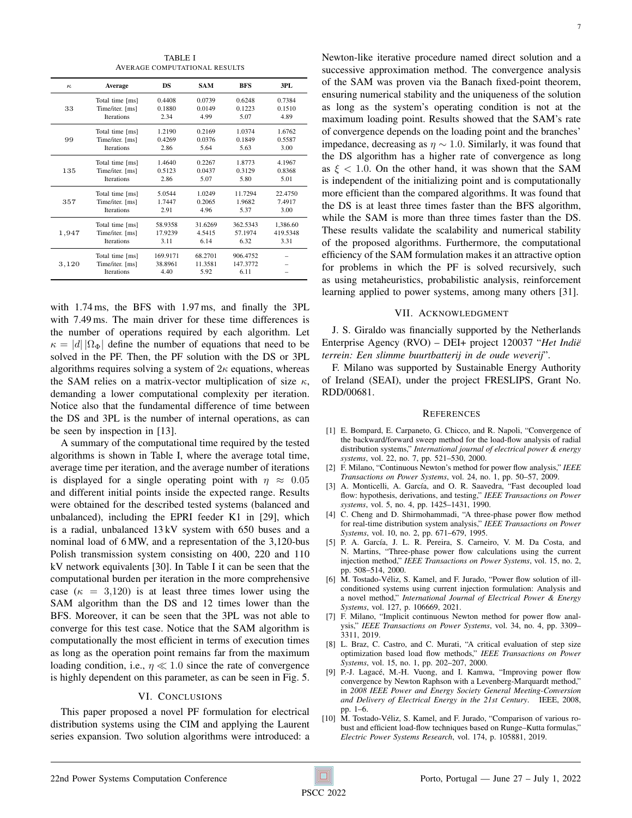TABLE I AVERAGE COMPUTATIONAL RESULTS

<span id="page-6-10"></span>

| $\kappa$ | Average                                                 | <b>DS</b>                   | <b>SAM</b>                 | <b>BFS</b>                   | 3PI.     |
|----------|---------------------------------------------------------|-----------------------------|----------------------------|------------------------------|----------|
| 33       | Total time [ms]                                         | 0.4408                      | 0.0739                     | 0.6248                       | 0.7384   |
|          | Time/iter. [ms]                                         | 0.1880                      | 0.0149                     | 0.1223                       | 0.1510   |
|          | <b>Iterations</b>                                       | 2.34                        | 4.99                       | 5.07                         | 4.89     |
| 99       | Total time [ms]                                         | 1.2190                      | 0.2169                     | 1.0374                       | 1.6762   |
|          | Time/iter. [ms]                                         | 0.4269                      | 0.0376                     | 0.1849                       | 0.5587   |
|          | <b>Iterations</b>                                       | 2.86                        | 5.64                       | 5.63                         | 3.00     |
| 135      | Total time [ms]                                         | 1.4640                      | 0.2267                     | 1.8773                       | 4.1967   |
|          | Time/iter. [ms]                                         | 0.5123                      | 0.0437                     | 0.3129                       | 0.8368   |
|          | <b>Iterations</b>                                       | 2.86                        | 5.07                       | 5.80                         | 5.01     |
| 357      | Total time [ms]                                         | 5.0544                      | 1.0249                     | 11.7294                      | 22.4750  |
|          | Time/iter. [ms]                                         | 1.7447                      | 0.2065                     | 1.9682                       | 7.4917   |
|          | <b>Iterations</b>                                       | 2.91                        | 4.96                       | 5.37                         | 3.00     |
| 1,947    | Total time [ms]                                         | 58.9358                     | 31.6269                    | 362.5343                     | 1,386.60 |
|          | Time/iter. [ms]                                         | 17.9239                     | 4.5415                     | 57.1974                      | 419.5348 |
|          | <b>Iterations</b>                                       | 3.11                        | 6.14                       | 6.32                         | 3.31     |
| 3,120    | Total time [ms]<br>Time/iter. [ms]<br><b>Iterations</b> | 169.9171<br>38.8961<br>4.40 | 68.2701<br>11.3581<br>5.92 | 906.4752<br>147.3772<br>6.11 |          |

with 1.74 ms, the BFS with 1.97 ms, and finally the 3PL with 7.49 ms. The main driver for these time differences is the number of operations required by each algorithm. Let  $\kappa = |d| |\Omega_{\Phi}|$  define the number of equations that need to be solved in the PF. Then, the PF solution with the DS or 3PL algorithms requires solving a system of  $2\kappa$  equations, whereas the SAM relies on a matrix-vector multiplication of size  $\kappa$ , demanding a lower computational complexity per iteration. Notice also that the fundamental difference of time between the DS and 3PL is the number of internal operations, as can be seen by inspection in [\[13\]](#page-7-2).

A summary of the computational time required by the tested algorithms is shown in Table [I,](#page-6-10) where the average total time, average time per iteration, and the average number of iterations is displayed for a single operating point with  $\eta \approx 0.05$ and different initial points inside the expected range. Results were obtained for the described tested systems (balanced and unbalanced), including the EPRI feeder K1 in [\[29\]](#page-7-18), which is a radial, unbalanced 13 kV system with 650 buses and a nominal load of 6 MW, and a representation of the 3,120-bus Polish transmission system consisting on 400, 220 and 110 kV network equivalents [\[30\]](#page-7-19). In Table [I](#page-6-10) it can be seen that the computational burden per iteration in the more comprehensive case ( $\kappa = 3,120$ ) is at least three times lower using the SAM algorithm than the DS and 12 times lower than the BFS. Moreover, it can be seen that the 3PL was not able to converge for this test case. Notice that the SAM algorithm is computationally the most efficient in terms of execution times as long as the operation point remains far from the maximum loading condition, i.e.,  $\eta \ll 1.0$  since the rate of convergence is highly dependent on this parameter, as can be seen in Fig. [5.](#page-5-1)

## VI. CONCLUSIONS

This paper proposed a novel PF formulation for electrical distribution systems using the CIM and applying the Laurent series expansion. Two solution algorithms were introduced: a Newton-like iterative procedure named direct solution and a successive approximation method. The convergence analysis of the SAM was proven via the Banach fixed-point theorem, ensuring numerical stability and the uniqueness of the solution as long as the system's operating condition is not at the maximum loading point. Results showed that the SAM's rate of convergence depends on the loading point and the branches' impedance, decreasing as  $\eta \sim 1.0$ . Similarly, it was found that the DS algorithm has a higher rate of convergence as long as  $\xi$  < 1.0. On the other hand, it was shown that the SAM is independent of the initializing point and is computationally more efficient than the compared algorithms. It was found that the DS is at least three times faster than the BFS algorithm, while the SAM is more than three times faster than the DS. These results validate the scalability and numerical stability of the proposed algorithms. Furthermore, the computational efficiency of the SAM formulation makes it an attractive option for problems in which the PF is solved recursively, such as using metaheuristics, probabilistic analysis, reinforcement learning applied to power systems, among many others [\[31\]](#page-7-20).

### VII. ACKNOWLEDGMENT

J. S. Giraldo was financially supported by the Netherlands Enterprise Agency (RVO) – DEI+ project 120037 "*Het Indie¨ terrein: Een slimme buurtbatterij in de oude weverij*".

F. Milano was supported by Sustainable Energy Authority of Ireland (SEAI), under the project FRESLIPS, Grant No. RDD/00681.

#### **REFERENCES**

- <span id="page-6-0"></span>[1] E. Bompard, E. Carpaneto, G. Chicco, and R. Napoli, "Convergence of the backward/forward sweep method for the load-flow analysis of radial distribution systems," *International journal of electrical power & energy systems*, vol. 22, no. 7, pp. 521–530, 2000.
- <span id="page-6-1"></span>[2] F. Milano, "Continuous Newton's method for power flow analysis," *IEEE Transactions on Power Systems*, vol. 24, no. 1, pp. 50–57, 2009.
- <span id="page-6-2"></span>[3] A. Monticelli, A. García, and O. R. Saavedra, "Fast decoupled load flow: hypothesis, derivations, and testing," *IEEE Transactions on Power systems*, vol. 5, no. 4, pp. 1425–1431, 1990.
- <span id="page-6-3"></span>[4] C. Cheng and D. Shirmohammadi, "A three-phase power flow method for real-time distribution system analysis," *IEEE Transactions on Power Systems*, vol. 10, no. 2, pp. 671–679, 1995.
- <span id="page-6-4"></span>[5] P. A. García, J. L. R. Pereira, S. Carneiro, V. M. Da Costa, and N. Martins, "Three-phase power flow calculations using the current injection method," *IEEE Transactions on Power Systems*, vol. 15, no. 2, pp. 508–514, 2000.
- <span id="page-6-5"></span>[6] M. Tostado-Véliz, S. Kamel, and F. Jurado, "Power flow solution of illconditioned systems using current injection formulation: Analysis and a novel method," *International Journal of Electrical Power & Energy Systems*, vol. 127, p. 106669, 2021.
- <span id="page-6-6"></span>[7] F. Milano, "Implicit continuous Newton method for power flow analysis," *IEEE Transactions on Power Systems*, vol. 34, no. 4, pp. 3309– 3311, 2019.
- <span id="page-6-7"></span>[8] L. Braz, C. Castro, and C. Murati, "A critical evaluation of step size optimization based load flow methods," *IEEE Transactions on Power Systems*, vol. 15, no. 1, pp. 202–207, 2000.
- <span id="page-6-8"></span>[9] P.-J. Lagacé, M.-H. Vuong, and I. Kamwa, "Improving power flow convergence by Newton Raphson with a Levenberg-Marquardt method," in *2008 IEEE Power and Energy Society General Meeting-Conversion and Delivery of Electrical Energy in the 21st Century*. IEEE, 2008, pp. 1–6.
- <span id="page-6-9"></span>[10] M. Tostado-Véliz, S. Kamel, and F. Jurado, "Comparison of various robust and efficient load-flow techniques based on Runge–Kutta formulas," *Electric Power Systems Research*, vol. 174, p. 105881, 2019.